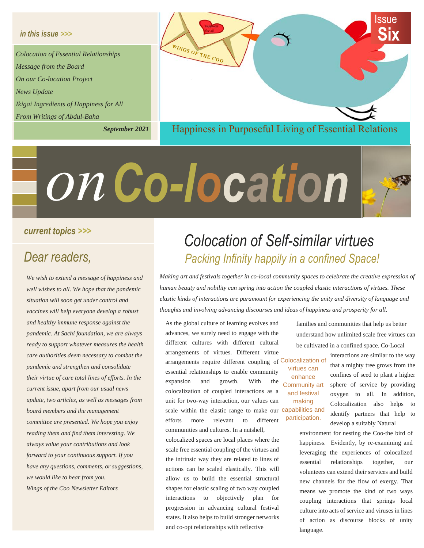#### *in this issue >>>*

*Colocation of Essential Relationships Message from the Board On our Co-location Project News Update Ikigai Ingredients of Happiness for All From Writings of Abdul-Baha*

*September 2021*



# *Co-location on*



*We wish to extend a message of happiness and well wishes to all. We hope that the pandemic situation will soon get under control and vaccines will help everyone develop a robust and healthy immune response against the pandemic. At Sachi foundation, we are always ready to support whatever measures the health care authorities deem necessary to combat the pandemic and strengthen and consolidate their virtue of care total lines of efforts. In the current issue, apart from our usual news update, two articles, as well as messages from board members and the management committee are presented. We hope you enjoy reading them and find them interesting. We always value your contributions and look forward to your continuous support. If you have any questions, comments, or suggestions, we would like to hear from you. Wings of the Coo Newsletter Editors*

# *Colocation of Self-similar virtues Dear readers, Packing Infinity happily in a confined Space!*

*Making art and festivals together in co-local community spaces to celebrate the creative expression of human beauty and nobility can spring into action the coupled elastic interactions of virtues. These elastic kinds of interactions are paramount for experiencing the unity and diversity of language and thoughts and involving advancing discourses and ideas of happiness and prosperity for all.*

As the global culture of learning evolves and advances, we surely need to engage with the different cultures with different cultural arrangements of virtues. Different virtue arrangements require different coupling of Colocalization of essential relationships to enable community expansion and growth. With the colocalization of coupled interactions as a unit for two-way interaction, our values can scale within the elastic range to make our capabilities and efforts more relevant to different communities and cultures. In a nutshell,

colocalized spaces are local places where the scale free essential coupling of the virtues and the intrinsic way they are related to lines of actions can be scaled elastically. This will allow us to build the essential structural shapes for elastic scaling of two way coupled interactions to objectively plan for progression in advancing cultural festival states. It also helps to build stronger networks and co-opt relationships with reflective

families and communities that help us better understand how unlimited scale free virtues can be cultivated in a confined space. Co-Local

virtues can enhance Community art and festival making participation.

interactions are similar to the way that a mighty tree grows from the confines of seed to plant a higher sphere of service by providing oxygen to all. In addition, Colocalization also helps to identify partners that help to develop a suitably Natural

environment for nesting the Coo-the bird of happiness. Evidently, by re-examining and leveraging the experiences of colocalized essential relationships together, our volunteers can extend their services and build new channels for the flow of exergy. That means we promote the kind of two ways coupling interactions that springs local culture into acts of service and viruses in lines of action as discourse blocks of unity language.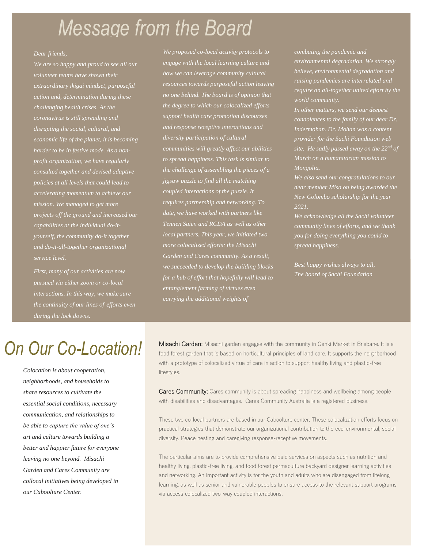# *Message from the Board*

*We are so happy and proud to see all our volunteer teams have shown their extraordinary ikigai mindset, purposeful action and, determination during these challenging health crises. As the coronavirus is still spreading and disrupting the social, cultural, and economic life of the planet, it is becoming harder to be in festive mode. As a nonprofit organization, we have regularly consulted together and devised adaptive accelerating momentum to achieve our mission. We managed to get more projects off the ground and increased our capabilities at the individual do-ityourself, the community do-it together and do-it-all-together organizational service level.*

*pursued via either zoom or co-local interactions. In this way, we make sure the continuity of our lines of efforts even during the lock downs.*

*We proposed co-local activity protocols to engage with the local learning culture and how we can leverage community cultural resources towards purposeful action leaving no one behind. The board is of opinion that the degree to which our colocalized efforts support health care promotion discourses and response receptive interactions and diversity participation of cultural communities will greatly affect our abilities to spread happiness. This task is similar to the challenge of assembling the pieces of a jigsaw puzzle to find all the matching coupled interactions of the puzzle. It requires partnership and networking. To date, we have worked with partners like Tennen Saien and RCDA as well as other local partners. This year, we initiated two more colocalized efforts: the Misachi we succeeded to develop the building blocks for a hub of effort that hopefully will lead to entanglement farming of virtues even carrying the additional weights of* 

*combating the pandemic and environmental degradation. We strongly believe, environmental degradation and raising pandemics are interrelated and require an all-together united effort by the world community.* 

*condolences to the family of our dear Dr. provider for the Sachi Foundation web site. He sadly passed away on the 22nd of March on a humanitarian mission to Mongolia.*

*We also send our congratulations to our dear member Misa on being awarded the New Colombo scholarship for the year 2021.* 

*We acknowledge all the Sachi volunteer community lines of efforts, and we thank you for doing everything you could to spread happiness.*

*Best happy wishes always to all, The board of Sachi Foundation*

# *On Our Co-Location!*

*Colocation is about cooperation, neighborhoods, and households to share resources to cultivate the essential social conditions, necessary communication, and relationships to be able to capture the value of one's art and culture towards building a better and happier future for everyone leaving no one beyond. Misachi Garden and Cares Community are collocal initiatives being developed in our Caboolture Center.*

Misachi Garden: Misachi garden engages with the community in Genki Market in Brisbane. It is a food forest garden that is based on horticultural principles of land care. It supports the neighborhood with a prototype of colocalized virtue of care in action to support healthy living and plastic-free lifestyles.

Cares Community: Cares community is about spreading happiness and wellbeing among people with disabilities and disadvantages. Cares Community Australia is a registered business.

These two co-local partners are based in our Caboolture center. These colocalization efforts focus on practical strategies that demonstrate our organizational contribution to the eco-environmental, social diversity. Peace nesting and caregiving response-receptive movements.

The particular aims are to provide comprehensive paid services on aspects such as nutrition and healthy living, plastic-free living, and food forest permaculture backyard designer learning activities and networking. An important activity is for the youth and adults who are disengaged from lifelong learning, as well as senior and vulnerable peoples to ensure access to the relevant support programs via access colocalized two-way coupled interactions.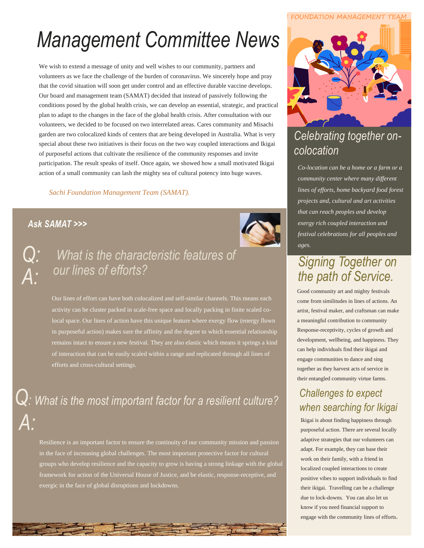# *Management Committee News*

We wish to extend a message of unity and well wishes to our community, partners and volunteers as we face the challenge of the burden of coronavirus. We sincerely hope and pray that the covid situation will soon get under control and an effective durable vaccine develops. Our board and management team (SAMAT) decided that instead of passively following the conditions posed by the global health crisis, we can develop an essential, strategic, and practical plan to adapt to the changes in the face of the global health crisis. After consultation with our volunteers, we decided to be focused on two interrelated areas. Cares community and Misachi garden are two colocalized kinds of centers that are being developed in Australia. What is very special about these two initiatives is their focus on the two way coupled interactions and Ikigai of purposeful actions that cultivate the resilience of the community responses and invite participation. The result speaks of itself. Once again, we showed how a small motivated Ikigai action of a small community can lash the mighty sea of cultural potency into huge waves.

*Sachi Foundation Management Team (SAMAT).*

### *Ask SAMAT >>>*





# *What is the characteristic features of our lines of efforts?*

Our lines of effort can have both colocalized and self-similar channels. This means each activity can be cluster packed in scale-free space and locally packing in finite scaled colocal space. Our lines of action have this unique feature where exergy flow (energy flown in purposeful action) makes sure the affinity and the degree to which essential relationship remains intact to ensure a new festival. They are also elastic which means it springs a kind of interaction that can be easily scaled within a range and replicated through all lines of efforts and cross-cultural settings.

*Q: What is the most important factor for a resilient culture? A:*

Resilience is an important factor to ensure the continuity of our community mission and passion in the face of increasing global challenges. The most important protective factor for cultural groups who develop resilience and the capacity to grow is having a strong linkage with the global framework for action of the Universal House of Justice, and be elastic, response-receptive, and exergic in the face of global disruptions and lockdowns.

#### FOUNDATION MANAGEMENT TEAM



# *Celebrating together oncolocation*

*Co-location can be a home or a farm or a community center where many different lines of efforts, home backyard food forest projects and, cultural and art activities that can reach peoples and develop exergy rich coupled interaction and festival celebrations for all peoples and ages.*

## *Signing Together on the path of Service.*

Good community art and mighty festivals come from similitudes in lines of actions. An artist, festival maker, and craftsman can make a meaningful contribution to community Response-receptivity, cycles of growth and development, wellbeing, and happiness. They can help individuals find their ikigai and engage communities to dance and sing together as they harvest acts of service in their entangled community virtue farms.

## *Challenges to expect when searching for Ikigai*

Ikigai is about finding happiness through purposeful action. There are several locally adaptive strategies that our volunteers can adapt. For example, they can base their work on their family, with a friend in localized coupled interactions to create positive vibes to support individuals to find their ikigai. Travelling can be a challenge due to lock-downs. You can also let us know if you need financial support to engage with the community lines of efforts.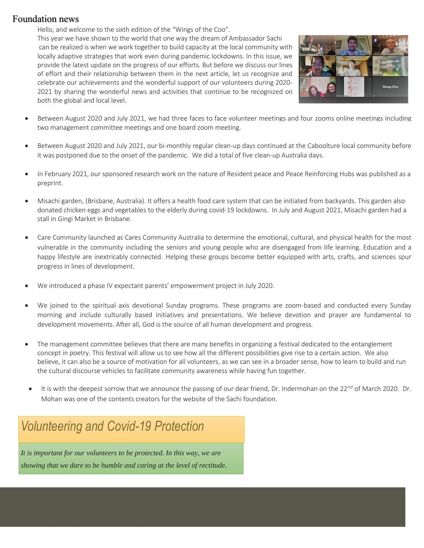## Foundation news

Hello, and welcome to the sixth edition of the "Wings of the Coo".

This year we have shown to the world that one way the dream of Ambassador Sachi can be realized is when we work together to build capacity at the local community with locally adaptive strategies that work even during pandemic lockdowns. In this issue, we provide the latest update on the progress of our efforts. But before we discuss our lines of effort and their relationship between them in the next article, let us recognize and celebrate our achievements and the wonderful support of our volunteers during 2020- 2021 by sharing the wonderful news and activities that continue to be recognized on both the global and local level.



- Between August 2020 and July 2021, we had three faces to face volunteer meetings and four zooms online meetings including two management committee meetings and one board zoom meeting.
- Between August 2020 and July 2021, our bi-monthly regular clean-up days continued at the Caboolture local community before it was postponed due to the onset of the pandemic. We did a total of five clean-up Australia days.
- In February 2021, our sponsored research work on the nature of Resident peace and Peace Reinforcing Hubs was published as a preprint.
- Misachi garden, (Brisbane, Australia). It offers a health food care system that can be initiated from backyards. This garden also donated chicken eggs and vegetables to the elderly during covid-19 lockdowns. In July and August 2021, Misachi garden had a stall in Gingi Market in Brisbane.
- Care Community launched as Cares Community Australia to determine the emotional, cultural, and physical health for the most vulnerable in the community including the seniors and young people who are disengaged from life learning. Education and a happy lifestyle are inextricably connected. Helping these groups become better equipped with arts, crafts, and sciences spur progress in lines of development.
- We introduced a phase IV expectant parents' empowerment project in July 2020.
- We joined to the spiritual axis devotional Sunday programs. These programs are zoom-based and conducted every Sunday morning and include culturally based initiatives and presentations. We believe devotion and prayer are fundamental to development movements. After all, God is the source of all human development and progress.
- The management committee believes that there are many benefits in organizing a festival dedicated to the entanglement concept in poetry. This festival will allow us to see how all the different possibilities give rise to a certain action. We also believe, it can also be a source of motivation for all volunteers, as we can see in a broader sense, how to learn to build and run the cultural discourse vehicles to facilitate community awareness while having fun together.
- It is with the deepest sorrow that we announce the passing of our dear friend, Dr. Indermohan on the 22<sup>nd</sup> of March 2020. Dr. Mohan was one of the contents creators for the website of the Sachi foundation.

# *Volunteering and Covid-19 Protection*

*It is important for our volunteers to be protected. In this way, we are showing that we dare to be humble and caring at the level of rectitude.*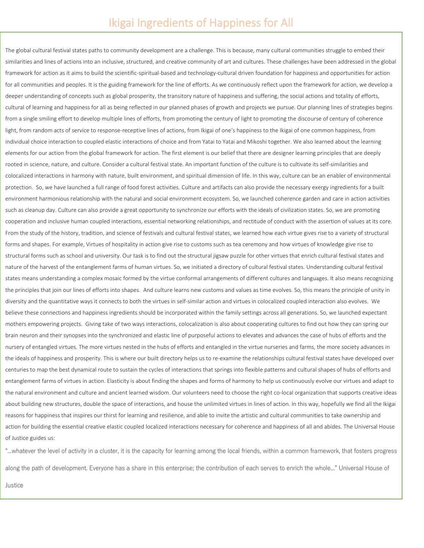The global cultural festival states paths to community development are a challenge. This is because, many cultural communities struggle to embed their similarities and lines of actions into an inclusive, structured, and creative community of art and cultures. These challenges have been addressed in the global framework for action as it aims to build the scientific-spiritual-based and technology-cultural driven foundation for happiness and opportunities for action for all communities and peoples. It is the guiding framework for the line of efforts. As we continuously reflect upon the framework for action, we develop a deeper understanding of concepts such as global prosperity, the transitory nature of happiness and suffering, the social actions and totality of efforts, cultural of learning and happiness for all as being reflected in our planned phases of growth and projects we pursue. Our planning lines of strategies begins from a single smiling effort to develop multiple lines of efforts, from promoting the century of light to promoting the discourse of century of coherence light, from random acts of service to response-receptive lines of actions, from Ikigai of one's happiness to the Ikigai of one common happiness, from individual choice interaction to coupled elastic interactions of choice and from Yatai to Yatai and Mikoshi together. We also learned about the learning elements for our action from the global framework for action. The first element is our belief that there are designer learning principles that are deeply rooted in science, nature, and culture. Consider a cultural festival state. An important function of the culture is to cultivate its self-similarities and colocalized interactions in harmony with nature, built environment, and spiritual dimension of life. In this way, culture can be an enabler of environmental protection. So, we have launched a full range of food forest activities. Culture and artifacts can also provide the necessary exergy ingredients for a built environment harmonious relationship with the natural and social environment ecosystem. So, we launched coherence garden and care in action activities such as cleanup day. Culture can also provide a great opportunity to synchronize our efforts with the ideals of civilization states. So, we are promoting cooperation and inclusive human coupled interactions, essential networking relationships, and rectitude of conduct with the assertion of values at its core. From the study of the history, tradition, and science of festivals and cultural festival states, we learned how each virtue gives rise to a variety of structural forms and shapes. For example, Virtues of hospitality in action give rise to customs such as tea ceremony and how virtues of knowledge give rise to structural forms such as school and university. Our task is to find out the structural jigsaw puzzle for other virtues that enrich cultural festival states and nature of the harvest of the entanglement farms of human virtues. So, we initiated a directory of cultural festival states. Understanding cultural festival states means understanding a complex mosaic formed by the virtue conformal arrangements of different cultures and languages. It also means recognizing the principles that join our lines of efforts into shapes. And culture learns new customs and values as time evolves. So, this means the principle of unity in diversity and the quantitative ways it connects to both the virtues in self-similar action and virtues in colocalized coupled interaction also evolves. We believe these connections and happiness ingredients should be incorporated within the family settings across all generations. So, we launched expectant mothers empowering projects. Giving take of two ways interactions, colocalization is also about cooperating cultures to find out how they can spring our brain neuron and their synopses into the synchronized and elastic line of purposeful actions to elevates and advances the case of hubs of efforts and the nursery of entangled virtues. The more virtues nested in the hubs of efforts and entangled in the virtue nurseries and farms, the more society advances in the ideals of happiness and prosperity. This is where our built directory helps us to re-examine the relationships cultural festival states have developed over centuries to map the best dynamical route to sustain the cycles of interactions that springs into flexible patterns and cultural shapes of hubs of efforts and entanglement farms of virtues in action. Elasticity is about finding the shapes and forms of harmony to help us continuously evolve our virtues and adapt to the natural environment and culture and ancient learned wisdom. Our volunteers need to choose the right co-local organization that supports creative ideas about building new structures, double the space of interactions, and house the unlimited virtues in lines of action. In this way, hopefully we find all the Ikigai reasons for happiness that inspires our thirst for learning and resilience, and able to invite the artistic and cultural communities to take ownership and action for building the essential creative elastic coupled localized interactions necessary for coherence and happiness of all and abides. The Universal House of Justice guides us:

"...whatever the level of activity in a cluster, it is the capacity for learning among the local friends, within a common framework, that fosters progress along the path of development. Everyone has a share in this enterprise; the contribution of each serves to enrich the whole..." Universal House of

Justice